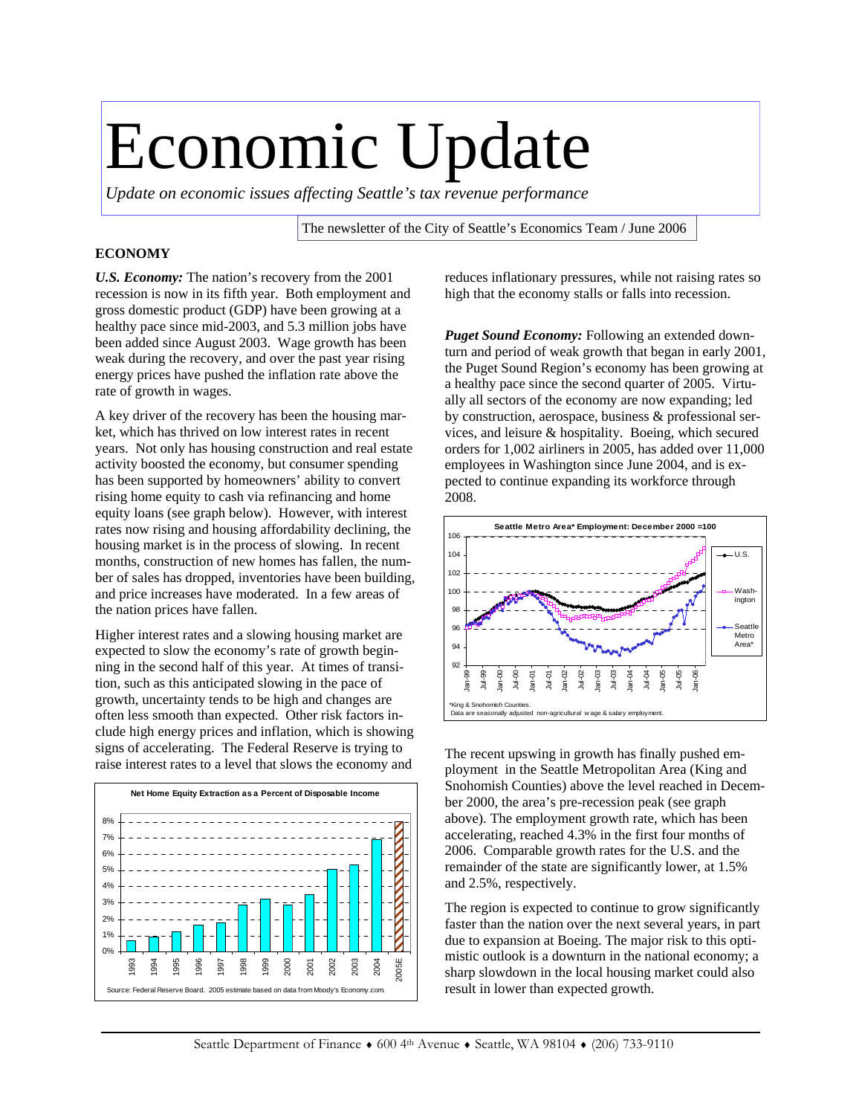# Economic Update

*Update on economic issues affecting Seattle's tax revenue performance* 

The newsletter of the City of Seattle's Economics Team / June 2006

#### **ECONOMY**

*U.S. Economy:* The nation's recovery from the 2001 recession is now in its fifth year. Both employment and gross domestic product (GDP) have been growing at a healthy pace since mid-2003, and 5.3 million jobs have been added since August 2003. Wage growth has been weak during the recovery, and over the past year rising energy prices have pushed the inflation rate above the rate of growth in wages.

A key driver of the recovery has been the housing market, which has thrived on low interest rates in recent years. Not only has housing construction and real estate activity boosted the economy, but consumer spending has been supported by homeowners' ability to convert rising home equity to cash via refinancing and home equity loans (see graph below). However, with interest rates now rising and housing affordability declining, the housing market is in the process of slowing. In recent months, construction of new homes has fallen, the number of sales has dropped, inventories have been building, and price increases have moderated. In a few areas of the nation prices have fallen.

Higher interest rates and a slowing housing market are expected to slow the economy's rate of growth beginning in the second half of this year. At times of transition, such as this anticipated slowing in the pace of growth, uncertainty tends to be high and changes are often less smooth than expected. Other risk factors include high energy prices and inflation, which is showing signs of accelerating. The Federal Reserve is trying to raise interest rates to a level that slows the economy and



reduces inflationary pressures, while not raising rates so high that the economy stalls or falls into recession.

*Puget Sound Economy:* Following an extended downturn and period of weak growth that began in early 2001, the Puget Sound Region's economy has been growing at a healthy pace since the second quarter of 2005. Virtually all sectors of the economy are now expanding; led by construction, aerospace, business & professional services, and leisure & hospitality. Boeing, which secured orders for 1,002 airliners in 2005, has added over 11,000 employees in Washington since June 2004, and is expected to continue expanding its workforce through 2008.



The recent upswing in growth has finally pushed employment in the Seattle Metropolitan Area (King and Snohomish Counties) above the level reached in December 2000, the area's pre-recession peak (see graph above). The employment growth rate, which has been accelerating, reached 4.3% in the first four months of 2006. Comparable growth rates for the U.S. and the remainder of the state are significantly lower, at 1.5% and 2.5%, respectively.

The region is expected to continue to grow significantly faster than the nation over the next several years, in part due to expansion at Boeing. The major risk to this optimistic outlook is a downturn in the national economy; a sharp slowdown in the local housing market could also result in lower than expected growth.